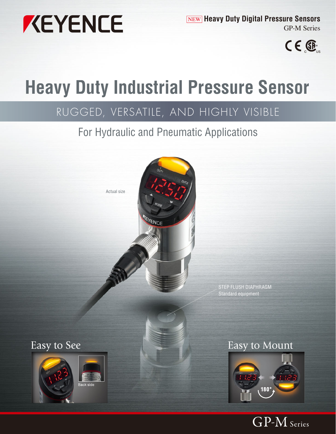

NEW **Heavy Duty Digital Pressure Sensors** GP-M Series



# **Heavy Duty Industrial Pressure Sensor**

# RUGGED, VERSATILE, AND HIGHLY VISIBLE

# For Hydraulic and Pneumatic Applications



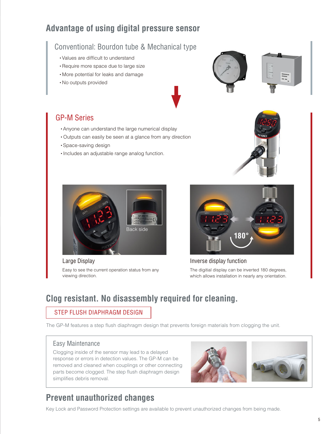# **Advantage of using digital pressure sensor**

# Conventional: Bourdon tube & Mechanical type

- ・Values are difficult to understand
- ・Require more space due to large size
- ・More potential for leaks and damage
- ・No outputs provided





- ・Anyone can understand the large numerical display
- ・Outputs can easily be seen at a glance from any direction
- ・Space-saving design
- ・Includes an adjustable range analog function.





Large Display

Easy to see the current operation status from any viewing direction.



Inverse display function The digitial display can be inverted 180 degrees, which allows installation in nearly any orientation.

# **Clog resistant. No disassembly required for cleaning.**

## STEP FLUSH DIAPHRAGM DESIGN

The GP-M features a step flush diaphragm design that prevents foreign materials from clogging the unit.

## Easy Maintenance

Clogging inside of the sensor may lead to a delayed response or errors in detection values. The GP-M can be removed and cleaned when couplings or other connecting parts become clogged. The step flush diaphragm design simplifies debris removal.





# **Prevent unauthorized changes**

Key Lock and Password Protection settings are available to prevent unauthorized changes from being made.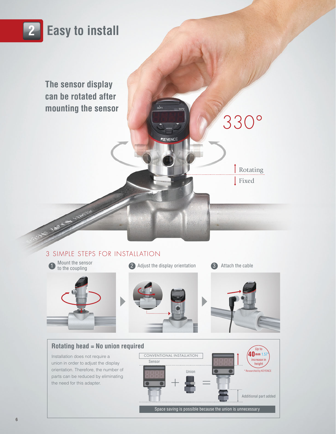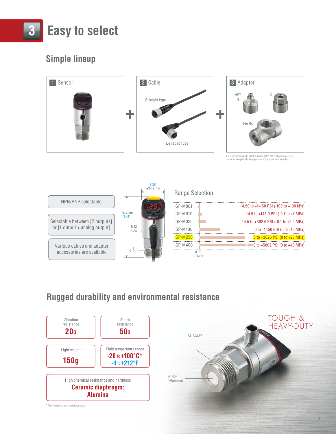

# **Simple lineup**



• It is recommended to attach a throttle (KEYENCE optional accessory) when an exceptionally large pulse or surge pressure is expected.



# **Rugged durability and environmental resistance**

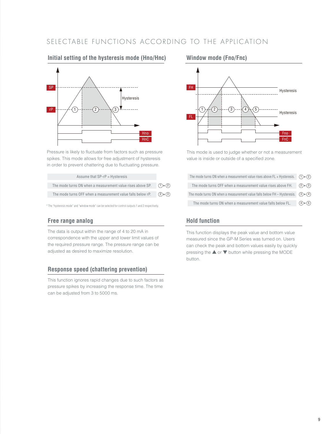# SELECTABLE FUNCTIONS ACCORDING TO THE APPLICATION

# Hysteresis  $rP$  ------/-(1 SP **Hno HnC**  $\sqrt{3}$

**Initial setting of the hysteresis mode (Hno/Hnc)**

Pressure is likely to fluctuate from factors such as pressure spikes. This mode allows for free adjustment of hysteresis in order to prevent chattering due to fluctuating pressure.

| Assume that SP-rP = Hysteresis                              |                              |
|-------------------------------------------------------------|------------------------------|
| The mode turns ON when a measurement value rises above SP.  | $(1)$ $\triangleright$ $(2)$ |
| The mode turns OFF when a measurement value falls below rP. | $(2) \ast (3)$               |

\* The "hysteresis mode" and "window mode" can be selected for control outputs 1 and 2 respectively.

## **Free range analog hold function**

The data is output within the range of 4 to 20 mA in correspondence with the upper and lower limit values of the required pressure range. The pressure range can be adjusted as desired to maximize resolution.

### **Response speed (chattering prevention)**

This function ignores rapid changes due to such factors as pressure spikes by increasing the response time. The time can be adjusted from 3 to 5000 ms.

### **Window mode (Fno/Fnc)**



This mode is used to judge whether or not a measurement value is inside or outside of a specified zone.

| The mode turns ON when a measurement value rises above FL + Hysteresis. $\bigcirc$ $\rightarrow$ $\circ$ |  |
|----------------------------------------------------------------------------------------------------------|--|
| The mode turns OFF when a measurement value rises above FH. $(2)$ $(3)$                                  |  |
| The mode turns ON when a measurement value falls below FH - Hysteresis. $(3)$ $\triangleright$ $(4)$     |  |
| The mode turns ON when a measurement value falls below FL. $(4)$ $(5)$                                   |  |

This function displays the peak value and bottom value measured since the GP-M Series was turned on. Users can check the peak and bottom values easily by quickly pressing the ▲ or ▼ button while pressing the MODE button.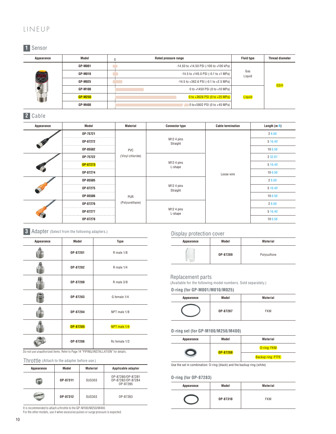# LINEUP

# 0 **1** Sensor

|                                | Model          | Rated pressure range                            | <b>Fluid type</b> | Thread diameter |
|--------------------------------|----------------|-------------------------------------------------|-------------------|-----------------|
| Appearance<br>$\frac{250}{25}$ | <b>GP-M001</b> | -14.50 to +14.50 PSI (-100 to +100 kPa)         |                   |                 |
|                                | GP-M010        | $-14.5$ to $+145.0$ PSI ( $-0.1$ to $+1$ MPa)   | Gas<br>Liquid     | G3/4            |
|                                | <b>GP-M025</b> | $-14.5$ to $+362.6$ PSI ( $-0.1$ to $+2.5$ MPa) |                   |                 |
|                                | GP-M100        | 0 to +1450 PSI (0 to +10 MPa)                   |                   |                 |
|                                | <b>GP-M250</b> | 0 to +3626 PSI (0 to +25 MPa)                   | Liquid            |                 |
|                                | <b>GP-M400</b> | 0 to+5802 PSI (0 to +40 MPa)                    |                   |                 |
|                                |                |                                                 |                   |                 |

## **2** Cable

| Appearance | Model    | <b>Material</b>       | <b>Connector type</b>                           | <b>Cable termination</b> | Length (m ft) |
|------------|----------|-----------------------|-------------------------------------------------|--------------------------|---------------|
|            | OP-75721 |                       |                                                 | Loose wire               | 26.56'        |
|            | OP-87272 |                       | M12 4 pins<br>Straight                          |                          | 5 16.40       |
|            | OP-85502 | PVC                   |                                                 |                          | 10 6.56       |
|            | OP-75722 | (Vinyl chloride)      |                                                 |                          | 2 32.81       |
|            | OP-87273 |                       | M <sub>12</sub> 4 pins<br>L-shape               |                          | 5 16.40       |
|            | OP-87274 |                       |                                                 |                          | 10 6.56       |
|            | OP-85505 | PUR<br>(Polyurethane) | M12 4 pins<br>Straight<br>M12 4 pins<br>L-shape |                          | 26.56'        |
|            | OP-87275 |                       |                                                 |                          | 5 16.40       |
|            | OP-85506 |                       |                                                 |                          | 10 6.56       |
|            | OP-87276 |                       |                                                 |                          | 26.56'        |
|            | OP-87277 |                       |                                                 |                          | 5 16.40       |
|            | OP-87278 |                       |                                                 |                          | 10 6.56       |



| Appearance | Model    | Type          |
|------------|----------|---------------|
|            | OP-87281 | R male 1/8    |
|            | OP-87282 | R male 1/4    |
|            | OP-87280 | R male 3/8    |
|            | OP-87283 | G female 1/4  |
|            | OP-87284 | NPT male 1/8  |
|            | OP-87285 | NPT male 1/4  |
|            | OP-87286 | Rc female 1/2 |

Do not use unauthorized items. Refer to Page 14 "PIPING/INSTALLATION" for details.

Throttle (Attach to the adapter before use.)

| Appearance | Model    | Material      | Applicable adapter                                 |
|------------|----------|---------------|----------------------------------------------------|
|            | 0P-87311 | <b>SUS303</b> | 0P-87280/0P-87281<br>OP-87282/OP-87284<br>OP-87285 |
|            | OP-87312 | SUS303        | OP-87283                                           |

It is recommended to attach a throttle to the GP-M100/M250/M400. For the other models, use it when excessive pulses or surge pressure is expected.

Display protection cover

| Appearance | Model    | <b>Material</b> |
|------------|----------|-----------------|
|            | OP-87289 | Polysulfone     |

#### Replacement parts

(Available for the following model numbers. Sold separately.)

**O-ring (for GP-M001/M010/M025)**

| Appearance | Model    | <b>Material</b> |
|------------|----------|-----------------|
|            | OP-87287 | <b>FKM</b>      |

#### **O-ring set (for GP-M100/M250/M400)**

| Appearance | Model    | <b>Material</b>          |
|------------|----------|--------------------------|
|            | OP-87288 | O-ring: FKM              |
|            |          | <b>Backup ring: PTFE</b> |

Use the set in combination: O-ring (black) and the backup ring (white)

#### **O-ring (for OP-87283)**

| Appearance | Model    | <b>Material</b> |
|------------|----------|-----------------|
|            | OP-87310 | <b>FKM</b>      |

10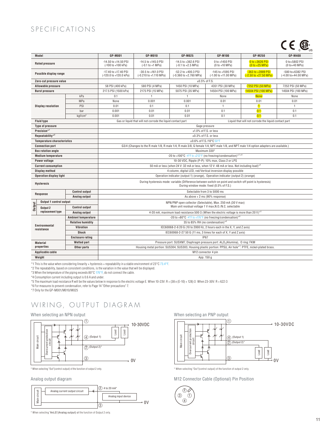# SPECIFICATIONS

# $CE$   $\mathbb{R}$

|                                                                                                                                                                 |                                    |                                                                                                       |                                               |                                                             |                                                                                                                                                      |                                            |                                                      | — us                              |
|-----------------------------------------------------------------------------------------------------------------------------------------------------------------|------------------------------------|-------------------------------------------------------------------------------------------------------|-----------------------------------------------|-------------------------------------------------------------|------------------------------------------------------------------------------------------------------------------------------------------------------|--------------------------------------------|------------------------------------------------------|-----------------------------------|
|                                                                                                                                                                 | Model                              |                                                                                                       | <b>GP-M001</b>                                | <b>GP-M010</b>                                              | <b>GP-M025</b>                                                                                                                                       | <b>GP-M100</b>                             | <b>GP-M250</b>                                       | <b>GP-M400</b>                    |
|                                                                                                                                                                 | <b>Rated pressure</b>              |                                                                                                       | -14.50 to +14.50 PSI<br>(-100 to +100 kPa)    | $-14.5$ to $+145.0$ PSI<br>$(-0.1 to +1 MPa)$               | -14.5 to +362.6 PSI<br>$(-0.1 to +2.5 MPa)$                                                                                                          | 0 to +1450 PSI<br>(0 to +10 MPa)           | 0 to +3626 PSI<br>$(0 to +25 MPa)$                   | 0 to+5802 PSI<br>$(0 to +40 MPa)$ |
| Possible display range                                                                                                                                          |                                    | -17.40 to +17.40 PSI<br>(-120.0 to +120.0 kPa)                                                        | -30.5 to +161.0 PSI<br>(-0.210 to +1.110 MPa) | -52.2 to +400.3 PSI<br>(-0.360 to +2.760 MPa)               | -145 to +1595 PSI<br>(-1.00 to +11.00 MPa)                                                                                                           | -363 to +3989 PSI<br>(-2.50 to +27.50 MPa) | -580 to+6382 PSI<br>(-4.00 to+44.00 MPa)             |                                   |
|                                                                                                                                                                 | Zero-cut pressure value            |                                                                                                       |                                               |                                                             | $\pm 0.5\%$ of F.S.                                                                                                                                  |                                            |                                                      |                                   |
|                                                                                                                                                                 | <b>Allowable pressure</b>          |                                                                                                       | 58 PSI (400 kPa)                              | 580 PSI (4 MPa)                                             | 1450 PSI (10 MPa)                                                                                                                                    | 4351 PSI (30 MPa)                          | 7252 PSI (50 MPa)                                    | 7252 PSI (50 MPa)                 |
| <b>Burst pressure</b>                                                                                                                                           |                                    | 217.5 PSI (1500 kPa)                                                                                  | 2175 PSI (15 MPa)                             | 5075 PSI (35 MPa)                                           | 14504 PSI (100 MPa)                                                                                                                                  | 14504 PSI (100 MPa)                        | 14504 PSI (100 MPa)                                  |                                   |
|                                                                                                                                                                 |                                    | kPa                                                                                                   | 0.1                                           | $\mathbf{1}$                                                | $\mathbf{1}$                                                                                                                                         | None                                       | <b>None</b>                                          | None                              |
|                                                                                                                                                                 |                                    | MPa                                                                                                   | None                                          | 0.001                                                       | 0.001                                                                                                                                                | 0.01                                       | 0.01                                                 | 0.01                              |
|                                                                                                                                                                 | <b>Display resolution</b>          | PSI                                                                                                   | 0.01                                          | 0.1                                                         | 0.1                                                                                                                                                  | $\mathbf{1}$                               | $\blacksquare$                                       | $\mathbf{1}$                      |
|                                                                                                                                                                 |                                    | bar                                                                                                   | 0.001                                         | 0.01                                                        | 0.01                                                                                                                                                 | 0.1                                        | 0.1                                                  | 0.1                               |
|                                                                                                                                                                 |                                    | kgf/cm <sup>2</sup>                                                                                   | 0.001                                         | 0.01                                                        | 0.01                                                                                                                                                 | 0.1                                        | 0.1                                                  | 0.1                               |
|                                                                                                                                                                 | <b>Fluid type</b>                  |                                                                                                       |                                               | Gas or liquid that will not corrode the liquid contact part |                                                                                                                                                      |                                            | Liquid that will not corrode the liquid contact part |                                   |
|                                                                                                                                                                 | <b>Type of pressure</b>            |                                                                                                       |                                               |                                                             | Gage pressure                                                                                                                                        |                                            |                                                      |                                   |
|                                                                                                                                                                 | Precision*1                        |                                                                                                       |                                               |                                                             | ±1.0% of F.S. or less                                                                                                                                |                                            |                                                      |                                   |
| Repeatability*2                                                                                                                                                 |                                    |                                                                                                       |                                               |                                                             | $\pm 0.3\%$ of F.S. or less                                                                                                                          |                                            |                                                      |                                   |
| <b>Temperature characteristics</b>                                                                                                                              |                                    |                                                                                                       | $\pm 0.6\%$ of F.S./10°C 50°F                 |                                                             |                                                                                                                                                      |                                            |                                                      |                                   |
| G3/4 (Changes to the R male 1/8, R male 1/4, R male 3/8, G female 1/4, NPT male 1/8, and NPT male 1/4 option adapters are available.)<br><b>Connection port</b> |                                    |                                                                                                       |                                               |                                                             |                                                                                                                                                      |                                            |                                                      |                                   |
| <b>Box rotation angle</b>                                                                                                                                       |                                    |                                                                                                       | Maximum 330°                                  |                                                             |                                                                                                                                                      |                                            |                                                      |                                   |
|                                                                                                                                                                 |                                    | -20 to +100°C -4°F to +212°F (no freezing/condensation) <sup>*3</sup> *6<br><b>Medium temperature</b> |                                               |                                                             |                                                                                                                                                      |                                            |                                                      |                                   |
|                                                                                                                                                                 | Power voltage                      |                                                                                                       |                                               |                                                             | 10-30 VDC, Ripple (P-P): 10% max, Class 2 or LPS                                                                                                     |                                            |                                                      |                                   |
|                                                                                                                                                                 | <b>Current consumption</b>         |                                                                                                       |                                               |                                                             | 50 mA or less (when 24 V: 32 mA or less, when 12 V: 48 mA or less. Not including load) <sup>*4</sup>                                                 |                                            |                                                      |                                   |
|                                                                                                                                                                 | <b>Display method</b>              |                                                                                                       |                                               |                                                             | 4 column, digital LED, red/Vertical inversion display possible                                                                                       |                                            |                                                      |                                   |
|                                                                                                                                                                 | <b>Operation display light</b>     |                                                                                                       |                                               |                                                             | Operation indicator (output 1) (orange), Operation indicator (output 2) (orange)                                                                     |                                            |                                                      |                                   |
|                                                                                                                                                                 | <b>Hysteresis</b>                  |                                                                                                       |                                               |                                                             | During hysteresis mode: variable (Difference between switch-on point and switch-off point is hysteresis)<br>During window mode: fixed (0.5% of F.S.) |                                            |                                                      |                                   |
|                                                                                                                                                                 | Response                           | <b>Control output</b>                                                                                 |                                               |                                                             | Selectable from 3 to 5000 ms                                                                                                                         |                                            |                                                      |                                   |
|                                                                                                                                                                 |                                    | Analog output                                                                                         |                                               |                                                             | As above $+2$ ms (90% response)                                                                                                                      |                                            |                                                      |                                   |
|                                                                                                                                                                 | Output 1 control output            |                                                                                                       |                                               |                                                             | NPN/PNP open collector (Selectable), Max. 250 mA (30 V max)                                                                                          |                                            |                                                      |                                   |
| Output                                                                                                                                                          | Output 2                           | <b>Control output</b>                                                                                 |                                               |                                                             | Main unit residual voltage 1 V max, N.O./N.C. selectable                                                                                             |                                            |                                                      |                                   |
|                                                                                                                                                                 | replacement type                   | Analog output                                                                                         |                                               |                                                             | 4-20 mA, maximum load resistance 500 $\Omega$ (When the electric voltage is more than 20 V) <sup>*5</sup>                                            |                                            |                                                      |                                   |
|                                                                                                                                                                 |                                    | <b>Ambient temperature</b>                                                                            |                                               |                                                             | -20 to +80°C -4°F to +176°F (no freezing/condensation)*6                                                                                             |                                            |                                                      |                                   |
|                                                                                                                                                                 |                                    | <b>Relative humidity</b>                                                                              |                                               |                                                             |                                                                                                                                                      | 35 to 85% RH (no condensation)*6           |                                                      |                                   |
|                                                                                                                                                                 | <b>Environmental</b><br>resistance | Vibration                                                                                             |                                               |                                                             | IEC60068-2-6 20 G (10 to 2000 Hz, 2 hours each in the X, Y, and Z axis)                                                                              |                                            |                                                      |                                   |
|                                                                                                                                                                 |                                    | <b>Shock</b>                                                                                          |                                               |                                                             | IEC60068-2-27 50 G (11 ms, 3 times for each of X, Y and Z axis)                                                                                      |                                            |                                                      |                                   |
|                                                                                                                                                                 |                                    | <b>Enclosure rating</b>                                                                               |                                               |                                                             | <b>IP67</b>                                                                                                                                          |                                            |                                                      |                                   |
|                                                                                                                                                                 | <b>Material</b>                    | <b>Wetted part</b>                                                                                    |                                               |                                                             | Pressure port: SUSXM7, Diaphragm pressure port: Al <sub>2</sub> O <sub>3</sub> (Alumina), O ring: FKM                                                |                                            |                                                      |                                   |
|                                                                                                                                                                 | properties                         | Other parts                                                                                           |                                               |                                                             | Housing metal portion: SUS304, SUS303, Housing plastic portion: PPSU, Air hole*7: PTFE, nickel-plated brass.                                         |                                            |                                                      |                                   |
|                                                                                                                                                                 | Applicable cable                   |                                                                                                       |                                               |                                                             | M12 connector 4 pin                                                                                                                                  |                                            |                                                      |                                   |
|                                                                                                                                                                 | Weight                             | App. 150 g                                                                                            |                                               |                                                             |                                                                                                                                                      |                                            |                                                      |                                   |

\*1 This is the value when considering linearity + hysteresis + repeatability in a stable environment of 23°C 73.4°F. \*2 The repeatability, based on consistent conditions, is the variation in the value that will be displayed.

\*3 When the temperature of the piping exceeds 80°C 176°F, do not connect the cable.

\*4 Consumption current including output is 0.6 A and under.

\*5 The maximum load resistance R will be the values below in response to the electric voltage E. When 10-23V: R = (38 x (E-10) + 128) Ω When 23-30V: R = 622 Ω

\*6 For measures to prevent condensation, refer to Page 14 "Other precautions" 7. \*7 Only for the GP-M001/M010/M025

# WIRING, OUTPUT DIAGRAM

#### When selecting an NPN output



\* When selecting "Out"(control output) of the function of output 2 only.

#### Analog output diagram



\* When selecting "AnLG"(Analog output) of the function of Output 2 only.

#### When selecting an PNP output



\* When selecting "Out"(control output) of the function of output 2 only.

M12 Connector Cable (Optional) Pin Position

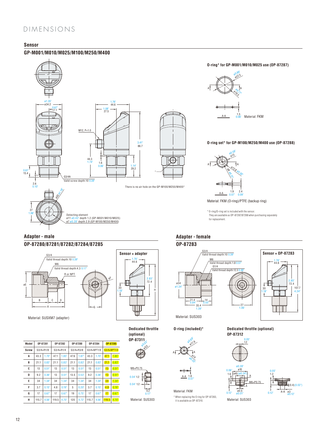# DIMENSIONS

### **Sensor**

#### **GP-M001/M010/M025/M100/M250/M400**



## **Adapter - male**

### **OP-87280/87281/87282/87284/87285**



Material: SUSXM7 (adapter)

| OP-87285    |
|-------------|
| G3/4×NPT1/4 |
| 1.85        |
| 0.83'       |
| 0.51'       |
| 0.51'       |
| 1.34        |
| 0.19'       |
| 0.67'       |
| 4.70        |
| 119.5       |

**Sensor + adapter**  $2.85^{\circ}$ <br> $72.4^{\circ}$ H 1.76" 44.6 30 1.18"

### **Dedicated throttle (optional)**









Material: SUS303

**O-ring (included)\***





Material: FKM \* When replacing the O ring for OP-87283, Material: SUS303 it is available as OP-87310. Material: SUS303

#### **Dedicated throttle (optional) OP-87312**

1.2 0.05"



0.12



107.7 4.24"

72.4 2.85"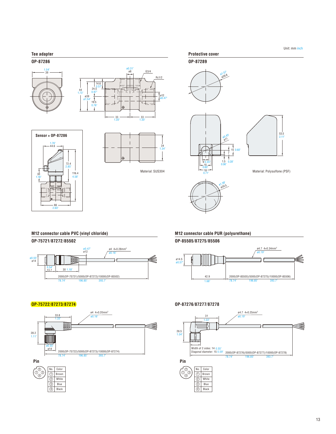#### **Tee adapter**

**OP-87286**









Material: SUS304



### **M12 connector cable PVC (vinyl chloride)**

**OP-75721**/**87272**/**85502**

**Pin**

28.2

1.11"

e<br>D<br>A

4 Black



#### **M12 connector cable PUR (polyurethane)**

**OP-85505**/**87275**/**85506**



#### **OP-75722**/**87273**/**87274 OP-87276**/**87277**/**87278**